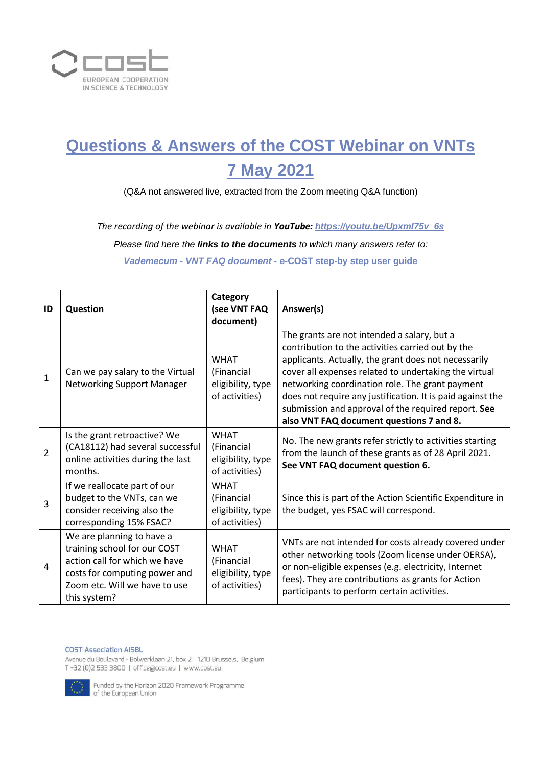

## **Questions & Answers of the COST Webinar on VNTs 7 May 2021**

(Q&A not answered live, extracted from the Zoom meeting Q&A function)

*The recording of the webinar is available in YouTube: [https://youtu.be/UpxmI75v\\_6s](https://youtu.be/UpxmI75v_6s)*

*Please find here the links to the documents to which many answers refer to:*

*[Vademecum](http://www.cost.eu/vademecum) - [VNT FAQ document](http://www.cost.eu/virtual_networking_tools_FAQ) -* **e-COST [step-by step user guide](http://www.cost.eu/virtual_networking_tools_ecost_user_guide)**

| ID             | Question                                                                                                                                                                     | Category<br>(see VNT FAQ<br>document)                            | Answer(s)                                                                                                                                                                                                                                                                                                                                                                                                                             |
|----------------|------------------------------------------------------------------------------------------------------------------------------------------------------------------------------|------------------------------------------------------------------|---------------------------------------------------------------------------------------------------------------------------------------------------------------------------------------------------------------------------------------------------------------------------------------------------------------------------------------------------------------------------------------------------------------------------------------|
| 1              | Can we pay salary to the Virtual<br><b>Networking Support Manager</b>                                                                                                        | <b>WHAT</b><br>(Financial<br>eligibility, type<br>of activities) | The grants are not intended a salary, but a<br>contribution to the activities carried out by the<br>applicants. Actually, the grant does not necessarily<br>cover all expenses related to undertaking the virtual<br>networking coordination role. The grant payment<br>does not require any justification. It is paid against the<br>submission and approval of the required report. See<br>also VNT FAQ document questions 7 and 8. |
| $\overline{2}$ | Is the grant retroactive? We<br>(CA18112) had several successful<br>online activities during the last<br>months.                                                             | <b>WHAT</b><br>(Financial<br>eligibility, type<br>of activities) | No. The new grants refer strictly to activities starting<br>from the launch of these grants as of 28 April 2021.<br>See VNT FAQ document question 6.                                                                                                                                                                                                                                                                                  |
| 3              | If we reallocate part of our<br>budget to the VNTs, can we<br>consider receiving also the<br>corresponding 15% FSAC?                                                         | <b>WHAT</b><br>(Financial<br>eligibility, type<br>of activities) | Since this is part of the Action Scientific Expenditure in<br>the budget, yes FSAC will correspond.                                                                                                                                                                                                                                                                                                                                   |
| 4              | We are planning to have a<br>training school for our COST<br>action call for which we have<br>costs for computing power and<br>Zoom etc. Will we have to use<br>this system? | <b>WHAT</b><br>(Financial<br>eligibility, type<br>of activities) | VNTs are not intended for costs already covered under<br>other networking tools (Zoom license under OERSA),<br>or non-eligible expenses (e.g. electricity, Internet<br>fees). They are contributions as grants for Action<br>participants to perform certain activities.                                                                                                                                                              |

**COST Association AISBL** 

Avenue du Boulevard - Bolwerklaan 21, box 2 | 1210 Brussels, Belgium T +32 (0) 2 533 3800 | office@cost.eu | www.cost.eu



Funded by the Horizon 2020 Framework Programme of the European Union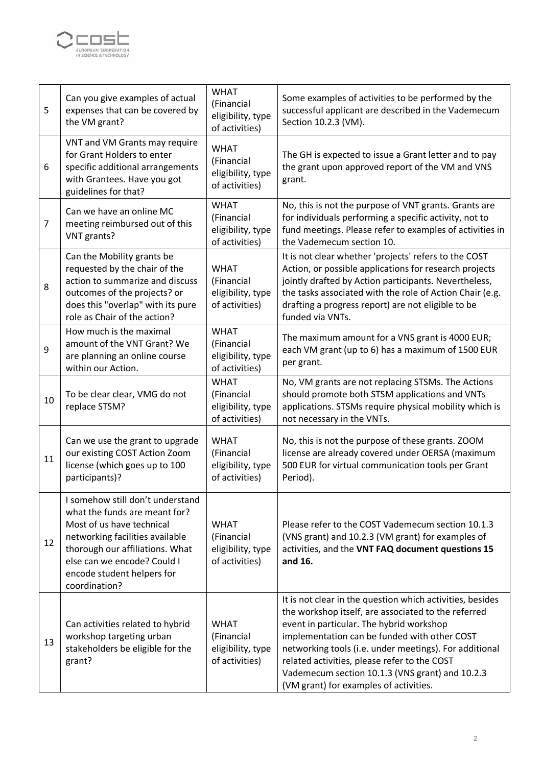

| 5              | Can you give examples of actual<br>expenses that can be covered by<br>the VM grant?                                                                                                                                                                | <b>WHAT</b><br>(Financial<br>eligibility, type<br>of activities) | Some examples of activities to be performed by the<br>successful applicant are described in the Vademecum<br>Section 10.2.3 (VM).                                                                                                                                                                                                                                                                                   |
|----------------|----------------------------------------------------------------------------------------------------------------------------------------------------------------------------------------------------------------------------------------------------|------------------------------------------------------------------|---------------------------------------------------------------------------------------------------------------------------------------------------------------------------------------------------------------------------------------------------------------------------------------------------------------------------------------------------------------------------------------------------------------------|
| 6              | VNT and VM Grants may require<br>for Grant Holders to enter<br>specific additional arrangements<br>with Grantees. Have you got<br>guidelines for that?                                                                                             | <b>WHAT</b><br>(Financial<br>eligibility, type<br>of activities) | The GH is expected to issue a Grant letter and to pay<br>the grant upon approved report of the VM and VNS<br>grant.                                                                                                                                                                                                                                                                                                 |
| $\overline{7}$ | Can we have an online MC<br>meeting reimbursed out of this<br>VNT grants?                                                                                                                                                                          | <b>WHAT</b><br>(Financial<br>eligibility, type<br>of activities) | No, this is not the purpose of VNT grants. Grants are<br>for individuals performing a specific activity, not to<br>fund meetings. Please refer to examples of activities in<br>the Vademecum section 10.                                                                                                                                                                                                            |
| 8              | Can the Mobility grants be<br>requested by the chair of the<br>action to summarize and discuss<br>outcomes of the projects? or<br>does this "overlap" with its pure<br>role as Chair of the action?                                                | <b>WHAT</b><br>(Financial<br>eligibility, type<br>of activities) | It is not clear whether 'projects' refers to the COST<br>Action, or possible applications for research projects<br>jointly drafted by Action participants. Nevertheless,<br>the tasks associated with the role of Action Chair (e.g.<br>drafting a progress report) are not eligible to be<br>funded via VNTs.                                                                                                      |
| 9              | How much is the maximal<br>amount of the VNT Grant? We<br>are planning an online course<br>within our Action.                                                                                                                                      | <b>WHAT</b><br>(Financial<br>eligibility, type<br>of activities) | The maximum amount for a VNS grant is 4000 EUR;<br>each VM grant (up to 6) has a maximum of 1500 EUR<br>per grant.                                                                                                                                                                                                                                                                                                  |
| 10             | To be clear clear, VMG do not<br>replace STSM?                                                                                                                                                                                                     | <b>WHAT</b><br>(Financial<br>eligibility, type<br>of activities) | No, VM grants are not replacing STSMs. The Actions<br>should promote both STSM applications and VNTs<br>applications. STSMs require physical mobility which is<br>not necessary in the VNTs.                                                                                                                                                                                                                        |
| 11             | Can we use the grant to upgrade<br>our existing COST Action Zoom<br>license (which goes up to 100<br>participants)?                                                                                                                                | <b>WHAT</b><br>(Financial<br>eligibility, type<br>of activities) | No, this is not the purpose of these grants. ZOOM<br>license are already covered under OERSA (maximum<br>500 EUR for virtual communication tools per Grant<br>Period).                                                                                                                                                                                                                                              |
| 12             | I somehow still don't understand<br>what the funds are meant for?<br>Most of us have technical<br>networking facilities available<br>thorough our affiliations. What<br>else can we encode? Could I<br>encode student helpers for<br>coordination? | <b>WHAT</b><br>(Financial<br>eligibility, type<br>of activities) | Please refer to the COST Vademecum section 10.1.3<br>(VNS grant) and 10.2.3 (VM grant) for examples of<br>activities, and the VNT FAQ document questions 15<br>and 16.                                                                                                                                                                                                                                              |
| 13             | Can activities related to hybrid<br>workshop targeting urban<br>stakeholders be eligible for the<br>grant?                                                                                                                                         | <b>WHAT</b><br>(Financial<br>eligibility, type<br>of activities) | It is not clear in the question which activities, besides<br>the workshop itself, are associated to the referred<br>event in particular. The hybrid workshop<br>implementation can be funded with other COST<br>networking tools (i.e. under meetings). For additional<br>related activities, please refer to the COST<br>Vademecum section 10.1.3 (VNS grant) and 10.2.3<br>(VM grant) for examples of activities. |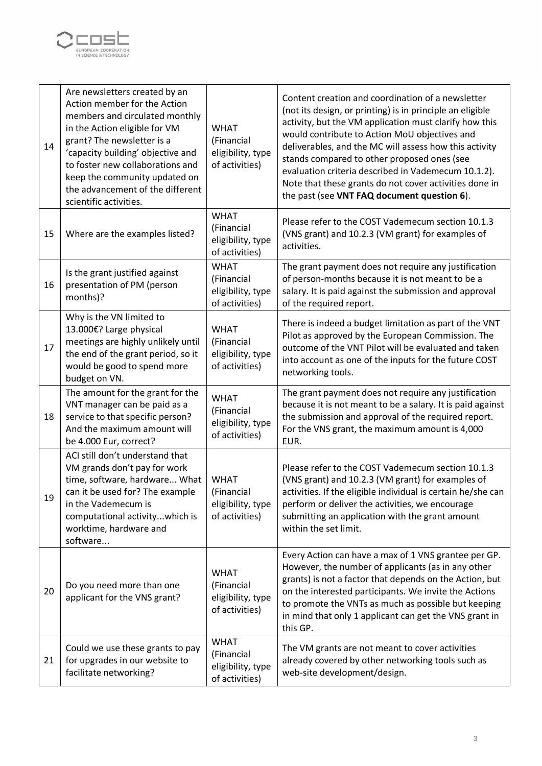

| 14 | Are newsletters created by an<br>Action member for the Action<br>members and circulated monthly<br>in the Action eligible for VM<br>grant? The newsletter is a<br>'capacity building' objective and<br>to foster new collaborations and<br>keep the community updated on<br>the advancement of the different<br>scientific activities. | <b>WHAT</b><br>(Financial<br>eligibility, type<br>of activities) | Content creation and coordination of a newsletter<br>(not its design, or printing) is in principle an eligible<br>activity, but the VM application must clarify how this<br>would contribute to Action MoU objectives and<br>deliverables, and the MC will assess how this activity<br>stands compared to other proposed ones (see<br>evaluation criteria described in Vademecum 10.1.2).<br>Note that these grants do not cover activities done in<br>the past (see VNT FAQ document question 6). |
|----|----------------------------------------------------------------------------------------------------------------------------------------------------------------------------------------------------------------------------------------------------------------------------------------------------------------------------------------|------------------------------------------------------------------|----------------------------------------------------------------------------------------------------------------------------------------------------------------------------------------------------------------------------------------------------------------------------------------------------------------------------------------------------------------------------------------------------------------------------------------------------------------------------------------------------|
| 15 | Where are the examples listed?                                                                                                                                                                                                                                                                                                         | <b>WHAT</b><br>(Financial<br>eligibility, type<br>of activities) | Please refer to the COST Vademecum section 10.1.3<br>(VNS grant) and 10.2.3 (VM grant) for examples of<br>activities.                                                                                                                                                                                                                                                                                                                                                                              |
| 16 | Is the grant justified against<br>presentation of PM (person<br>months)?                                                                                                                                                                                                                                                               | <b>WHAT</b><br>(Financial<br>eligibility, type<br>of activities) | The grant payment does not require any justification<br>of person-months because it is not meant to be a<br>salary. It is paid against the submission and approval<br>of the required report.                                                                                                                                                                                                                                                                                                      |
| 17 | Why is the VN limited to<br>13.000€? Large physical<br>meetings are highly unlikely until<br>the end of the grant period, so it<br>would be good to spend more<br>budget on VN.                                                                                                                                                        | <b>WHAT</b><br>(Financial<br>eligibility, type<br>of activities) | There is indeed a budget limitation as part of the VNT<br>Pilot as approved by the European Commission. The<br>outcome of the VNT Pilot will be evaluated and taken<br>into account as one of the inputs for the future COST<br>networking tools.                                                                                                                                                                                                                                                  |
| 18 | The amount for the grant for the<br>VNT manager can be paid as a<br>service to that specific person?<br>And the maximum amount will<br>be 4.000 Eur, correct?                                                                                                                                                                          | <b>WHAT</b><br>(Financial<br>eligibility, type<br>of activities) | The grant payment does not require any justification<br>because it is not meant to be a salary. It is paid against<br>the submission and approval of the required report.<br>For the VNS grant, the maximum amount is 4,000<br>EUR.                                                                                                                                                                                                                                                                |
| 19 | ACI still don't understand that<br>VM grands don't pay for work<br>time, software, hardware What<br>can it be used for? The example<br>in the Vademecum is<br>computational activitywhich is<br>worktime, hardware and<br>software                                                                                                     | <b>WHAT</b><br>(Financial<br>eligibility, type<br>of activities) | Please refer to the COST Vademecum section 10.1.3<br>(VNS grant) and 10.2.3 (VM grant) for examples of<br>activities. If the eligible individual is certain he/she can<br>perform or deliver the activities, we encourage<br>submitting an application with the grant amount<br>within the set limit.                                                                                                                                                                                              |
| 20 | Do you need more than one<br>applicant for the VNS grant?                                                                                                                                                                                                                                                                              | <b>WHAT</b><br>(Financial<br>eligibility, type<br>of activities) | Every Action can have a max of 1 VNS grantee per GP.<br>However, the number of applicants (as in any other<br>grants) is not a factor that depends on the Action, but<br>on the interested participants. We invite the Actions<br>to promote the VNTs as much as possible but keeping<br>in mind that only 1 applicant can get the VNS grant in<br>this GP.                                                                                                                                        |
| 21 | Could we use these grants to pay<br>for upgrades in our website to<br>facilitate networking?                                                                                                                                                                                                                                           | <b>WHAT</b><br>(Financial<br>eligibility, type<br>of activities) | The VM grants are not meant to cover activities<br>already covered by other networking tools such as<br>web-site development/design.                                                                                                                                                                                                                                                                                                                                                               |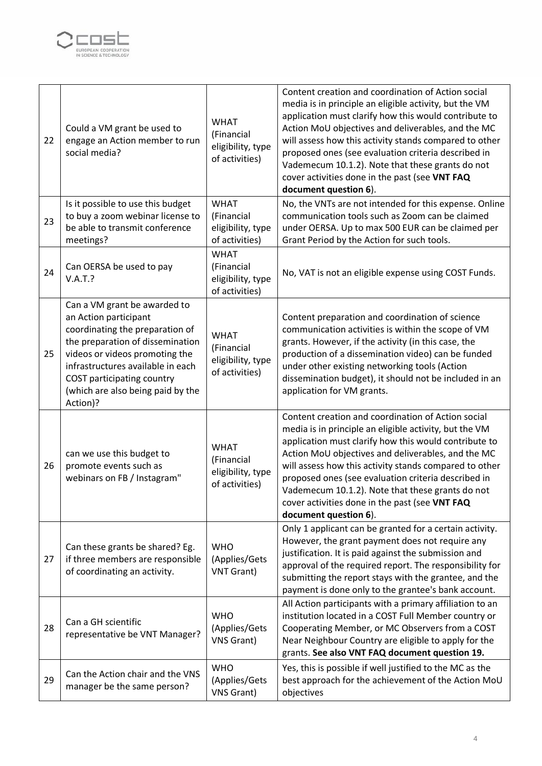

| 22 | Could a VM grant be used to<br>engage an Action member to run<br>social media?                                                                                                                                                                                                            | <b>WHAT</b><br>(Financial<br>eligibility, type<br>of activities) | Content creation and coordination of Action social<br>media is in principle an eligible activity, but the VM<br>application must clarify how this would contribute to<br>Action MoU objectives and deliverables, and the MC<br>will assess how this activity stands compared to other<br>proposed ones (see evaluation criteria described in<br>Vademecum 10.1.2). Note that these grants do not<br>cover activities done in the past (see VNT FAQ<br>document question 6). |
|----|-------------------------------------------------------------------------------------------------------------------------------------------------------------------------------------------------------------------------------------------------------------------------------------------|------------------------------------------------------------------|-----------------------------------------------------------------------------------------------------------------------------------------------------------------------------------------------------------------------------------------------------------------------------------------------------------------------------------------------------------------------------------------------------------------------------------------------------------------------------|
| 23 | Is it possible to use this budget<br>to buy a zoom webinar license to<br>be able to transmit conference<br>meetings?                                                                                                                                                                      | <b>WHAT</b><br>(Financial<br>eligibility, type<br>of activities) | No, the VNTs are not intended for this expense. Online<br>communication tools such as Zoom can be claimed<br>under OERSA. Up to max 500 EUR can be claimed per<br>Grant Period by the Action for such tools.                                                                                                                                                                                                                                                                |
| 24 | Can OERSA be used to pay<br>V.A.T.?                                                                                                                                                                                                                                                       | <b>WHAT</b><br>(Financial<br>eligibility, type<br>of activities) | No, VAT is not an eligible expense using COST Funds.                                                                                                                                                                                                                                                                                                                                                                                                                        |
| 25 | Can a VM grant be awarded to<br>an Action participant<br>coordinating the preparation of<br>the preparation of dissemination<br>videos or videos promoting the<br>infrastructures available in each<br><b>COST participating country</b><br>(which are also being paid by the<br>Action)? | <b>WHAT</b><br>(Financial<br>eligibility, type<br>of activities) | Content preparation and coordination of science<br>communication activities is within the scope of VM<br>grants. However, if the activity (in this case, the<br>production of a dissemination video) can be funded<br>under other existing networking tools (Action<br>dissemination budget), it should not be included in an<br>application for VM grants.                                                                                                                 |
| 26 | can we use this budget to<br>promote events such as<br>webinars on FB / Instagram"                                                                                                                                                                                                        | <b>WHAT</b><br>(Financial<br>eligibility, type<br>of activities) | Content creation and coordination of Action social<br>media is in principle an eligible activity, but the VM<br>application must clarify how this would contribute to<br>Action MoU objectives and deliverables, and the MC<br>will assess how this activity stands compared to other<br>proposed ones (see evaluation criteria described in<br>Vademecum 10.1.2). Note that these grants do not<br>cover activities done in the past (see VNT FAQ<br>document question 6). |
| 27 | Can these grants be shared? Eg.<br>if three members are responsible<br>of coordinating an activity.                                                                                                                                                                                       | <b>WHO</b><br>(Applies/Gets<br>VNT Grant)                        | Only 1 applicant can be granted for a certain activity.<br>However, the grant payment does not require any<br>justification. It is paid against the submission and<br>approval of the required report. The responsibility for<br>submitting the report stays with the grantee, and the<br>payment is done only to the grantee's bank account.                                                                                                                               |
| 28 | Can a GH scientific<br>representative be VNT Manager?                                                                                                                                                                                                                                     | <b>WHO</b><br>(Applies/Gets<br><b>VNS Grant)</b>                 | All Action participants with a primary affiliation to an<br>institution located in a COST Full Member country or<br>Cooperating Member, or MC Observers from a COST<br>Near Neighbour Country are eligible to apply for the<br>grants. See also VNT FAQ document question 19.                                                                                                                                                                                               |
| 29 | Can the Action chair and the VNS<br>manager be the same person?                                                                                                                                                                                                                           | <b>WHO</b><br>(Applies/Gets<br>VNS Grant)                        | Yes, this is possible if well justified to the MC as the<br>best approach for the achievement of the Action MoU<br>objectives                                                                                                                                                                                                                                                                                                                                               |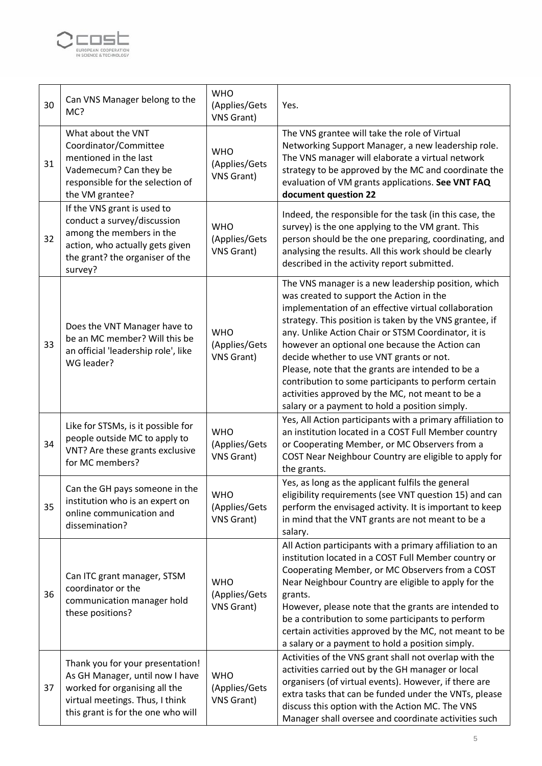

| 30 | Can VNS Manager belong to the<br>MC?                                                                                                                                          | <b>WHO</b><br>(Applies/Gets<br>VNS Grant)        | Yes.                                                                                                                                                                                                                                                                                                                                                                                                                                                                                                                                                                                       |
|----|-------------------------------------------------------------------------------------------------------------------------------------------------------------------------------|--------------------------------------------------|--------------------------------------------------------------------------------------------------------------------------------------------------------------------------------------------------------------------------------------------------------------------------------------------------------------------------------------------------------------------------------------------------------------------------------------------------------------------------------------------------------------------------------------------------------------------------------------------|
| 31 | What about the VNT<br>Coordinator/Committee<br>mentioned in the last<br>Vademecum? Can they be<br>responsible for the selection of<br>the VM grantee?                         | <b>WHO</b><br>(Applies/Gets<br>VNS Grant)        | The VNS grantee will take the role of Virtual<br>Networking Support Manager, a new leadership role.<br>The VNS manager will elaborate a virtual network<br>strategy to be approved by the MC and coordinate the<br>evaluation of VM grants applications. See VNT FAQ<br>document question 22                                                                                                                                                                                                                                                                                               |
| 32 | If the VNS grant is used to<br>conduct a survey/discussion<br>among the members in the<br>action, who actually gets given<br>the grant? the organiser of the<br>survey?       | <b>WHO</b><br>(Applies/Gets<br><b>VNS Grant)</b> | Indeed, the responsible for the task (in this case, the<br>survey) is the one applying to the VM grant. This<br>person should be the one preparing, coordinating, and<br>analysing the results. All this work should be clearly<br>described in the activity report submitted.                                                                                                                                                                                                                                                                                                             |
| 33 | Does the VNT Manager have to<br>be an MC member? Will this be<br>an official 'leadership role', like<br>WG leader?                                                            | <b>WHO</b><br>(Applies/Gets<br><b>VNS Grant)</b> | The VNS manager is a new leadership position, which<br>was created to support the Action in the<br>implementation of an effective virtual collaboration<br>strategy. This position is taken by the VNS grantee, if<br>any. Unlike Action Chair or STSM Coordinator, it is<br>however an optional one because the Action can<br>decide whether to use VNT grants or not.<br>Please, note that the grants are intended to be a<br>contribution to some participants to perform certain<br>activities approved by the MC, not meant to be a<br>salary or a payment to hold a position simply. |
| 34 | Like for STSMs, is it possible for<br>people outside MC to apply to<br>VNT? Are these grants exclusive<br>for MC members?                                                     | <b>WHO</b><br>(Applies/Gets<br>VNS Grant)        | Yes, All Action participants with a primary affiliation to<br>an institution located in a COST Full Member country<br>or Cooperating Member, or MC Observers from a<br>COST Near Neighbour Country are eligible to apply for<br>the grants.                                                                                                                                                                                                                                                                                                                                                |
| 35 | Can the GH pays someone in the<br>institution who is an expert on<br>online communication and<br>dissemination?                                                               | <b>WHO</b><br>(Applies/Gets<br>VNS Grant)        | Yes, as long as the applicant fulfils the general<br>eligibility requirements (see VNT question 15) and can<br>perform the envisaged activity. It is important to keep<br>in mind that the VNT grants are not meant to be a<br>salary.                                                                                                                                                                                                                                                                                                                                                     |
| 36 | Can ITC grant manager, STSM<br>coordinator or the<br>communication manager hold<br>these positions?                                                                           | <b>WHO</b><br>(Applies/Gets<br>VNS Grant)        | All Action participants with a primary affiliation to an<br>institution located in a COST Full Member country or<br>Cooperating Member, or MC Observers from a COST<br>Near Neighbour Country are eligible to apply for the<br>grants.<br>However, please note that the grants are intended to<br>be a contribution to some participants to perform<br>certain activities approved by the MC, not meant to be<br>a salary or a payment to hold a position simply.                                                                                                                          |
| 37 | Thank you for your presentation!<br>As GH Manager, until now I have<br>worked for organising all the<br>virtual meetings. Thus, I think<br>this grant is for the one who will | <b>WHO</b><br>(Applies/Gets<br>VNS Grant)        | Activities of the VNS grant shall not overlap with the<br>activities carried out by the GH manager or local<br>organisers (of virtual events). However, if there are<br>extra tasks that can be funded under the VNTs, please<br>discuss this option with the Action MC. The VNS<br>Manager shall oversee and coordinate activities such                                                                                                                                                                                                                                                   |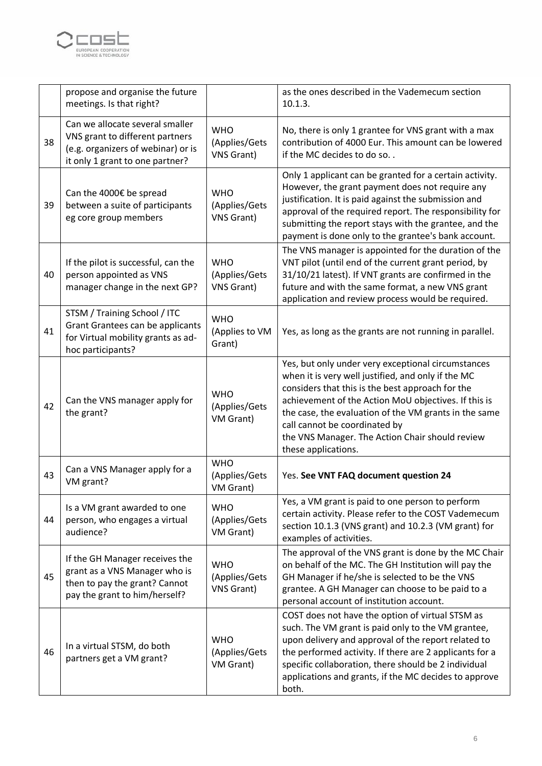

|    | propose and organise the future<br>meetings. Is that right?                                                                                 |                                                  | as the ones described in the Vademecum section<br>10.1.3.                                                                                                                                                                                                                                                                                                                                |
|----|---------------------------------------------------------------------------------------------------------------------------------------------|--------------------------------------------------|------------------------------------------------------------------------------------------------------------------------------------------------------------------------------------------------------------------------------------------------------------------------------------------------------------------------------------------------------------------------------------------|
| 38 | Can we allocate several smaller<br>VNS grant to different partners<br>(e.g. organizers of webinar) or is<br>it only 1 grant to one partner? | <b>WHO</b><br>(Applies/Gets<br><b>VNS Grant)</b> | No, there is only 1 grantee for VNS grant with a max<br>contribution of 4000 Eur. This amount can be lowered<br>if the MC decides to do so                                                                                                                                                                                                                                               |
| 39 | Can the 4000€ be spread<br>between a suite of participants<br>eg core group members                                                         | <b>WHO</b><br>(Applies/Gets<br><b>VNS Grant)</b> | Only 1 applicant can be granted for a certain activity.<br>However, the grant payment does not require any<br>justification. It is paid against the submission and<br>approval of the required report. The responsibility for<br>submitting the report stays with the grantee, and the<br>payment is done only to the grantee's bank account.                                            |
| 40 | If the pilot is successful, can the<br>person appointed as VNS<br>manager change in the next GP?                                            | <b>WHO</b><br>(Applies/Gets<br><b>VNS Grant)</b> | The VNS manager is appointed for the duration of the<br>VNT pilot (until end of the current grant period, by<br>31/10/21 latest). If VNT grants are confirmed in the<br>future and with the same format, a new VNS grant<br>application and review process would be required.                                                                                                            |
| 41 | STSM / Training School / ITC<br>Grant Grantees can be applicants<br>for Virtual mobility grants as ad-<br>hoc participants?                 | <b>WHO</b><br>(Applies to VM<br>Grant)           | Yes, as long as the grants are not running in parallel.                                                                                                                                                                                                                                                                                                                                  |
| 42 | Can the VNS manager apply for<br>the grant?                                                                                                 | <b>WHO</b><br>(Applies/Gets<br>VM Grant)         | Yes, but only under very exceptional circumstances<br>when it is very well justified, and only if the MC<br>considers that this is the best approach for the<br>achievement of the Action MoU objectives. If this is<br>the case, the evaluation of the VM grants in the same<br>call cannot be coordinated by<br>the VNS Manager. The Action Chair should review<br>these applications. |
| 43 | Can a VNS Manager apply for a<br>VM grant?                                                                                                  | <b>WHO</b><br>(Applies/Gets<br>VM Grant)         | Yes. See VNT FAQ document question 24                                                                                                                                                                                                                                                                                                                                                    |
| 44 | Is a VM grant awarded to one<br>person, who engages a virtual<br>audience?                                                                  | <b>WHO</b><br>(Applies/Gets<br>VM Grant)         | Yes, a VM grant is paid to one person to perform<br>certain activity. Please refer to the COST Vademecum<br>section 10.1.3 (VNS grant) and 10.2.3 (VM grant) for<br>examples of activities.                                                                                                                                                                                              |
| 45 | If the GH Manager receives the<br>grant as a VNS Manager who is<br>then to pay the grant? Cannot<br>pay the grant to him/herself?           | <b>WHO</b><br>(Applies/Gets<br>VNS Grant)        | The approval of the VNS grant is done by the MC Chair<br>on behalf of the MC. The GH Institution will pay the<br>GH Manager if he/she is selected to be the VNS<br>grantee. A GH Manager can choose to be paid to a<br>personal account of institution account.                                                                                                                          |
| 46 | In a virtual STSM, do both<br>partners get a VM grant?                                                                                      | <b>WHO</b><br>(Applies/Gets<br>VM Grant)         | COST does not have the option of virtual STSM as<br>such. The VM grant is paid only to the VM grantee,<br>upon delivery and approval of the report related to<br>the performed activity. If there are 2 applicants for a<br>specific collaboration, there should be 2 individual<br>applications and grants, if the MC decides to approve<br>both.                                       |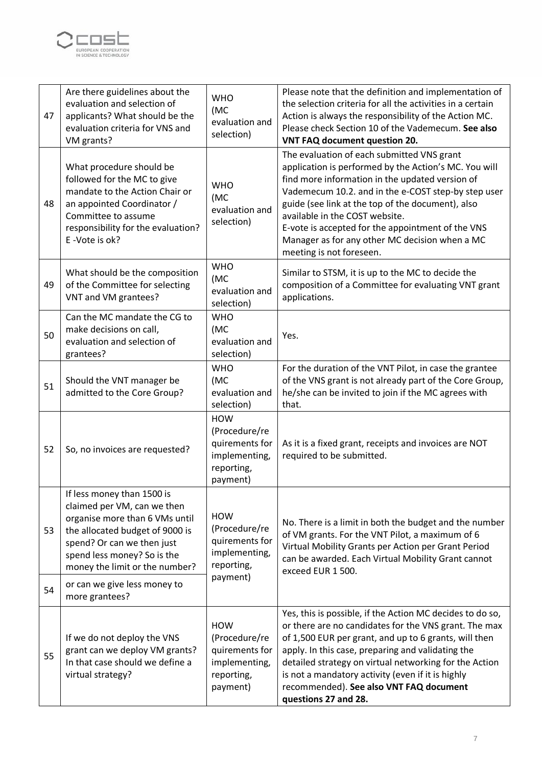

| 47 | Are there guidelines about the<br>evaluation and selection of<br>applicants? What should be the<br>evaluation criteria for VNS and<br>VM grants?                                                                              | <b>WHO</b><br>(MC<br>evaluation and<br>selection)                                        | Please note that the definition and implementation of<br>the selection criteria for all the activities in a certain<br>Action is always the responsibility of the Action MC.<br>Please check Section 10 of the Vademecum. See also<br><b>VNT FAQ document question 20.</b>                                                                                                                                                              |
|----|-------------------------------------------------------------------------------------------------------------------------------------------------------------------------------------------------------------------------------|------------------------------------------------------------------------------------------|-----------------------------------------------------------------------------------------------------------------------------------------------------------------------------------------------------------------------------------------------------------------------------------------------------------------------------------------------------------------------------------------------------------------------------------------|
| 48 | What procedure should be<br>followed for the MC to give<br>mandate to the Action Chair or<br>an appointed Coordinator /<br>Committee to assume<br>responsibility for the evaluation?<br>E-Vote is ok?                         | <b>WHO</b><br>(MC<br>evaluation and<br>selection)                                        | The evaluation of each submitted VNS grant<br>application is performed by the Action's MC. You will<br>find more information in the updated version of<br>Vademecum 10.2. and in the e-COST step-by step user<br>guide (see link at the top of the document), also<br>available in the COST website.<br>E-vote is accepted for the appointment of the VNS<br>Manager as for any other MC decision when a MC<br>meeting is not foreseen. |
| 49 | What should be the composition<br>of the Committee for selecting<br>VNT and VM grantees?                                                                                                                                      | <b>WHO</b><br>(MC<br>evaluation and<br>selection)                                        | Similar to STSM, it is up to the MC to decide the<br>composition of a Committee for evaluating VNT grant<br>applications.                                                                                                                                                                                                                                                                                                               |
| 50 | Can the MC mandate the CG to<br>make decisions on call,<br>evaluation and selection of<br>grantees?                                                                                                                           | <b>WHO</b><br>(MC<br>evaluation and<br>selection)                                        | Yes.                                                                                                                                                                                                                                                                                                                                                                                                                                    |
| 51 | Should the VNT manager be<br>admitted to the Core Group?                                                                                                                                                                      | <b>WHO</b><br>(MC<br>evaluation and<br>selection)                                        | For the duration of the VNT Pilot, in case the grantee<br>of the VNS grant is not already part of the Core Group,<br>he/she can be invited to join if the MC agrees with<br>that.                                                                                                                                                                                                                                                       |
| 52 | So, no invoices are requested?                                                                                                                                                                                                | <b>HOW</b><br>(Procedure/re<br>quirements for<br>implementing,<br>reporting,<br>payment) | As it is a fixed grant, receipts and invoices are NOT<br>required to be submitted.                                                                                                                                                                                                                                                                                                                                                      |
| 53 | If less money than 1500 is<br>claimed per VM, can we then<br>organise more than 6 VMs until<br>the allocated budget of 9000 is<br>spend? Or can we then just<br>spend less money? So is the<br>money the limit or the number? | <b>HOW</b><br>(Procedure/re<br>quirements for<br>implementing,<br>reporting,<br>payment) | No. There is a limit in both the budget and the number<br>of VM grants. For the VNT Pilot, a maximum of 6<br>Virtual Mobility Grants per Action per Grant Period<br>can be awarded. Each Virtual Mobility Grant cannot<br>exceed EUR 1 500.                                                                                                                                                                                             |
| 54 | or can we give less money to<br>more grantees?                                                                                                                                                                                |                                                                                          |                                                                                                                                                                                                                                                                                                                                                                                                                                         |
| 55 | If we do not deploy the VNS<br>grant can we deploy VM grants?<br>In that case should we define a<br>virtual strategy?                                                                                                         | <b>HOW</b><br>(Procedure/re<br>quirements for<br>implementing,<br>reporting,<br>payment) | Yes, this is possible, if the Action MC decides to do so,<br>or there are no candidates for the VNS grant. The max<br>of 1,500 EUR per grant, and up to 6 grants, will then<br>apply. In this case, preparing and validating the<br>detailed strategy on virtual networking for the Action<br>is not a mandatory activity (even if it is highly<br>recommended). See also VNT FAQ document<br>questions 27 and 28.                      |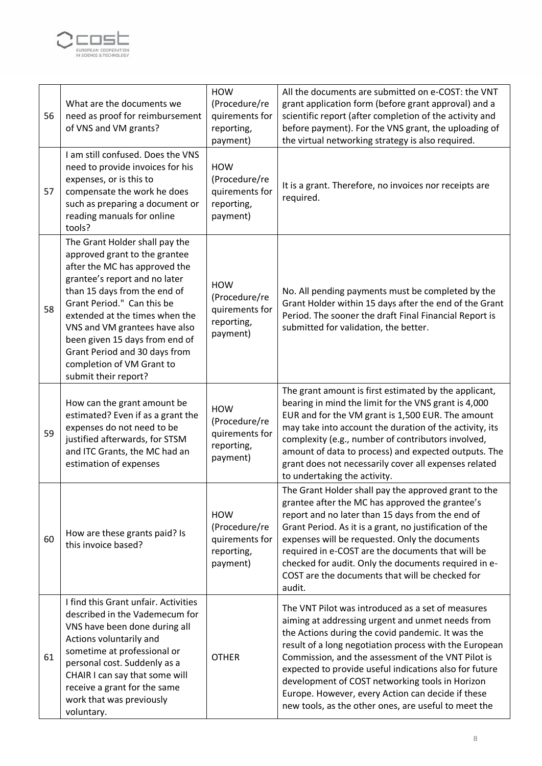

| 56 | What are the documents we<br>need as proof for reimbursement<br>of VNS and VM grants?                                                                                                                                                                                                                                                                                                      | <b>HOW</b><br>(Procedure/re<br>quirements for<br>reporting,<br>payment) | All the documents are submitted on e-COST: the VNT<br>grant application form (before grant approval) and a<br>scientific report (after completion of the activity and<br>before payment). For the VNS grant, the uploading of<br>the virtual networking strategy is also required.                                                                                                                                                                                                                   |
|----|--------------------------------------------------------------------------------------------------------------------------------------------------------------------------------------------------------------------------------------------------------------------------------------------------------------------------------------------------------------------------------------------|-------------------------------------------------------------------------|------------------------------------------------------------------------------------------------------------------------------------------------------------------------------------------------------------------------------------------------------------------------------------------------------------------------------------------------------------------------------------------------------------------------------------------------------------------------------------------------------|
| 57 | I am still confused. Does the VNS<br>need to provide invoices for his<br>expenses, or is this to<br>compensate the work he does<br>such as preparing a document or<br>reading manuals for online<br>tools?                                                                                                                                                                                 | <b>HOW</b><br>(Procedure/re<br>quirements for<br>reporting,<br>payment) | It is a grant. Therefore, no invoices nor receipts are<br>required.                                                                                                                                                                                                                                                                                                                                                                                                                                  |
| 58 | The Grant Holder shall pay the<br>approved grant to the grantee<br>after the MC has approved the<br>grantee's report and no later<br>than 15 days from the end of<br>Grant Period." Can this be<br>extended at the times when the<br>VNS and VM grantees have also<br>been given 15 days from end of<br>Grant Period and 30 days from<br>completion of VM Grant to<br>submit their report? | <b>HOW</b><br>(Procedure/re<br>quirements for<br>reporting,<br>payment) | No. All pending payments must be completed by the<br>Grant Holder within 15 days after the end of the Grant<br>Period. The sooner the draft Final Financial Report is<br>submitted for validation, the better.                                                                                                                                                                                                                                                                                       |
| 59 | How can the grant amount be<br>estimated? Even if as a grant the<br>expenses do not need to be<br>justified afterwards, for STSM<br>and ITC Grants, the MC had an<br>estimation of expenses                                                                                                                                                                                                | <b>HOW</b><br>(Procedure/re<br>quirements for<br>reporting,<br>payment) | The grant amount is first estimated by the applicant,<br>bearing in mind the limit for the VNS grant is 4,000<br>EUR and for the VM grant is 1,500 EUR. The amount<br>may take into account the duration of the activity, its<br>complexity (e.g., number of contributors involved,<br>amount of data to process) and expected outputs. The<br>grant does not necessarily cover all expenses related<br>to undertaking the activity.                                                                 |
| 60 | How are these grants paid? Is<br>this invoice based?                                                                                                                                                                                                                                                                                                                                       | <b>HOW</b><br>(Procedure/re<br>quirements for<br>reporting,<br>payment) | The Grant Holder shall pay the approved grant to the<br>grantee after the MC has approved the grantee's<br>report and no later than 15 days from the end of<br>Grant Period. As it is a grant, no justification of the<br>expenses will be requested. Only the documents<br>required in e-COST are the documents that will be<br>checked for audit. Only the documents required in e-<br>COST are the documents that will be checked for<br>audit.                                                   |
| 61 | I find this Grant unfair. Activities<br>described in the Vademecum for<br>VNS have been done during all<br>Actions voluntarily and<br>sometime at professional or<br>personal cost. Suddenly as a<br>CHAIR I can say that some will<br>receive a grant for the same<br>work that was previously<br>voluntary.                                                                              | <b>OTHER</b>                                                            | The VNT Pilot was introduced as a set of measures<br>aiming at addressing urgent and unmet needs from<br>the Actions during the covid pandemic. It was the<br>result of a long negotiation process with the European<br>Commission, and the assessment of the VNT Pilot is<br>expected to provide useful indications also for future<br>development of COST networking tools in Horizon<br>Europe. However, every Action can decide if these<br>new tools, as the other ones, are useful to meet the |